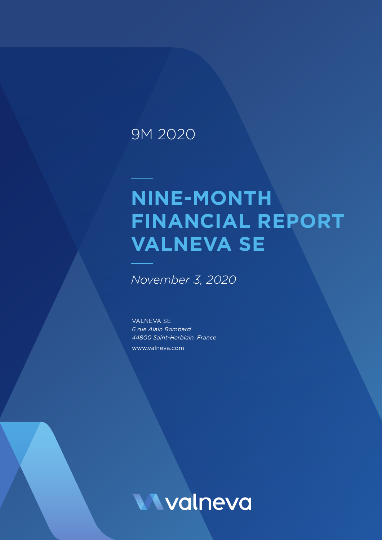## 9M 2020

# **NINE-MONTH FINANCIAL REPORT VALNEVA SE**

*November 3, 2020*

VALNEVA SE *6 rue Alain Bombard 44800 Saint-Herblain, France* www.valneva.com

**Wyalneva**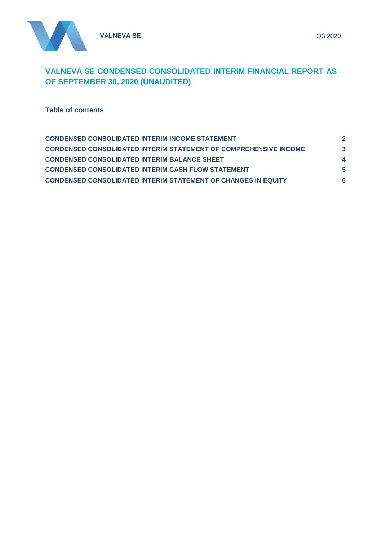

### **VALNEVA SE CONDENSED CONSOLIDATED INTERIM FINANCIAL REPORT AS OF SEPTEMBER 30, 2020 (UNAUDITED)**

**Table of contents**

| <b>CONDENSED CONSOLIDATED INTERIM INCOME STATEMENT</b>                  |   |
|-------------------------------------------------------------------------|---|
| <b>CONDENSED CONSOLIDATED INTERIM STATEMENT OF COMPREHENSIVE INCOME</b> | 3 |
| <b>CONDENSED CONSOLIDATED INTERIM BALANCE SHEET</b>                     |   |
| <b>CONDENSED CONSOLIDATED INTERIM CASH FLOW STATEMENT</b>               | 5 |
| <b>CONDENSED CONSOLIDATED INTERIM STATEMENT OF CHANGES IN EQUITY</b>    |   |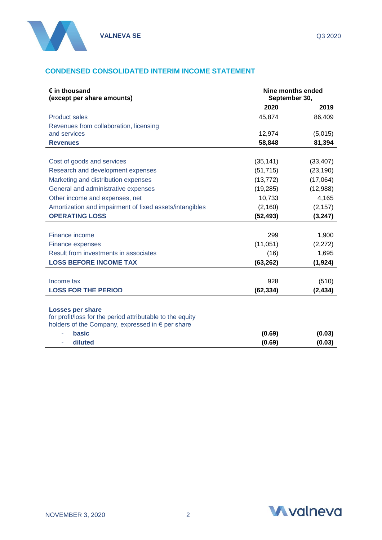

#### <span id="page-2-0"></span>**CONDENSED CONSOLIDATED INTERIM INCOME STATEMENT**

| $\epsilon$ in thousand<br>(except per share amounts)                                                          | Nine months ended<br>September 30, |           |
|---------------------------------------------------------------------------------------------------------------|------------------------------------|-----------|
|                                                                                                               | 2020                               | 2019      |
| <b>Product sales</b>                                                                                          | 45,874                             | 86,409    |
| Revenues from collaboration, licensing                                                                        |                                    |           |
| and services                                                                                                  | 12,974                             | (5,015)   |
| <b>Revenues</b>                                                                                               | 58,848                             | 81,394    |
|                                                                                                               |                                    |           |
| Cost of goods and services                                                                                    | (35, 141)                          | (33, 407) |
| Research and development expenses                                                                             | (51, 715)                          | (23, 190) |
| Marketing and distribution expenses                                                                           | (13, 772)                          | (17,064)  |
| General and administrative expenses                                                                           | (19, 285)                          | (12,988)  |
| Other income and expenses, net                                                                                | 10,733                             | 4,165     |
| Amortization and impairment of fixed assets/intangibles                                                       | (2, 160)                           | (2, 157)  |
| <b>OPERATING LOSS</b>                                                                                         | (52, 493)                          | (3, 247)  |
|                                                                                                               |                                    |           |
| Finance income                                                                                                | 299                                | 1,900     |
| Finance expenses                                                                                              | (11,051)                           | (2,272)   |
| Result from investments in associates                                                                         | (16)                               | 1,695     |
| <b>LOSS BEFORE INCOME TAX</b>                                                                                 | (63, 262)                          | (1, 924)  |
|                                                                                                               |                                    |           |
| Income tax                                                                                                    | 928                                | (510)     |
| <b>LOSS FOR THE PERIOD</b>                                                                                    | (62, 334)                          | (2, 434)  |
|                                                                                                               |                                    |           |
| <b>Losses per share</b>                                                                                       |                                    |           |
| for profit/loss for the period attributable to the equity<br>holders of the Company, expressed in € per share |                                    |           |
| basic                                                                                                         | (0.69)                             | (0.03)    |
| diluted                                                                                                       | (0.69)                             | (0.03)    |
|                                                                                                               |                                    |           |

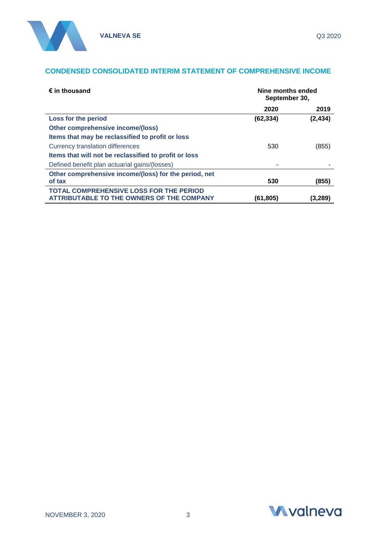#### <span id="page-3-0"></span>**CONDENSED CONSOLIDATED INTERIM STATEMENT OF COMPREHENSIVE INCOME**

| $\epsilon$ in thousand                                | Nine months ended<br>September 30, |          |
|-------------------------------------------------------|------------------------------------|----------|
|                                                       | 2020                               | 2019     |
| Loss for the period                                   | (62, 334)                          | (2, 434) |
| Other comprehensive income/(loss)                     |                                    |          |
| Items that may be reclassified to profit or loss      |                                    |          |
| Currency translation differences                      | 530                                | (855)    |
| Items that will not be reclassified to profit or loss |                                    |          |
| Defined benefit plan actuarial gains/(losses)         |                                    |          |
| Other comprehensive income/(loss) for the period, net |                                    |          |
| of tax                                                | 530                                | (855)    |
| <b>TOTAL COMPREHENSIVE LOSS FOR THE PERIOD</b>        |                                    |          |
| <b>ATTRIBUTABLE TO THE OWNERS OF THE COMPANY</b>      | (61,805)                           | (3,289)  |

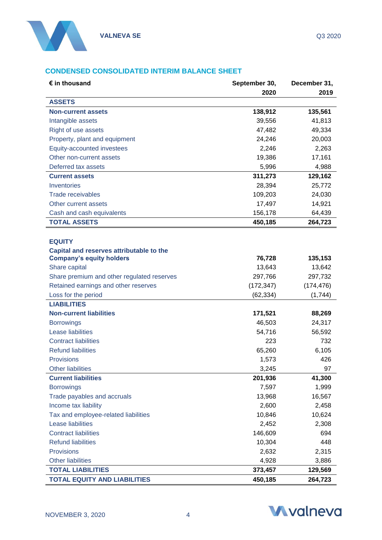

#### <span id="page-4-0"></span>**CONDENSED CONSOLIDATED INTERIM BALANCE SHEET**

| $\epsilon$ in thousand                     | September 30, | December 31, |
|--------------------------------------------|---------------|--------------|
|                                            | 2020          | 2019         |
| <b>ASSETS</b>                              |               |              |
| <b>Non-current assets</b>                  | 138,912       | 135,561      |
| Intangible assets                          | 39,556        | 41,813       |
| Right of use assets                        | 47,482        | 49,334       |
| Property, plant and equipment              | 24,246        | 20,003       |
| Equity-accounted investees                 | 2,246         | 2,263        |
| Other non-current assets                   | 19,386        | 17,161       |
| Deferred tax assets                        | 5,996         | 4,988        |
| <b>Current assets</b>                      | 311,273       | 129,162      |
| Inventories                                | 28,394        | 25,772       |
| <b>Trade receivables</b>                   | 109,203       | 24,030       |
| Other current assets                       | 17,497        | 14,921       |
| Cash and cash equivalents                  | 156,178       | 64,439       |
| <b>TOTAL ASSETS</b>                        | 450,185       | 264,723      |
|                                            |               |              |
| <b>EQUITY</b>                              |               |              |
| Capital and reserves attributable to the   |               |              |
| <b>Company's equity holders</b>            | 76,728        | 135,153      |
| Share capital                              | 13,643        | 13,642       |
| Share premium and other regulated reserves | 297,766       | 297,732      |
| Retained earnings and other reserves       | (172, 347)    | (174, 476)   |
| Loss for the period                        | (62, 334)     | (1,744)      |
| <b>LIABILITIES</b>                         |               |              |
| <b>Non-current liabilities</b>             | 171,521       | 88,269       |
| <b>Borrowings</b>                          | 46,503        | 24,317       |
| <b>Lease liabilities</b>                   | 54,716        | 56,592       |
| <b>Contract liabilities</b>                | 223           | 732          |
| <b>Refund liabilities</b>                  | 65,260        | 6,105        |
| Provisions                                 | 1,573         | 426          |
| <b>Other liabilities</b>                   | 3,245         | 97           |
| <b>Current liabilities</b>                 | 201,936       | 41,300       |
| <b>Borrowings</b>                          | 7,597         | 1,999        |
| Trade payables and accruals                | 13,968        | 16,567       |
| Income tax liability                       | 2,600         | 2,458        |
| Tax and employee-related liabilities       | 10,846        | 10,624       |
| <b>Lease liabilities</b>                   | 2,452         | 2,308        |
| <b>Contract liabilities</b>                | 146,609       | 694          |
| <b>Refund liabilities</b>                  | 10,304        | 448          |
| Provisions                                 | 2,632         | 2,315        |
| <b>Other liabilities</b>                   | 4,928         | 3,886        |
| <b>TOTAL LIABILITIES</b>                   | 373,457       | 129,569      |
| <b>TOTAL EQUITY AND LIABILITIES</b>        | 450,185       | 264,723      |

<span id="page-4-1"></span>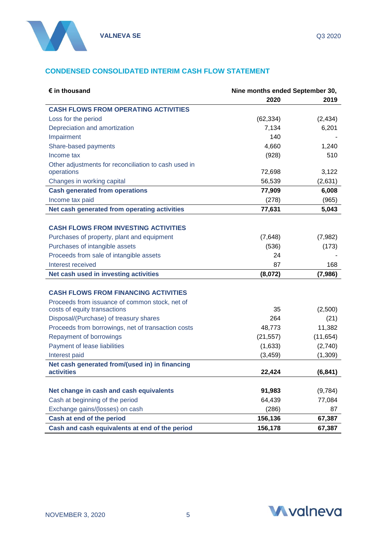

#### **CONDENSED CONSOLIDATED INTERIM CASH FLOW STATEMENT**

| $\epsilon$ in thousand                               | Nine months ended September 30, |           |
|------------------------------------------------------|---------------------------------|-----------|
|                                                      | 2020                            | 2019      |
| <b>CASH FLOWS FROM OPERATING ACTIVITIES</b>          |                                 |           |
| Loss for the period                                  | (62, 334)                       | (2, 434)  |
| Depreciation and amortization                        | 7,134                           | 6,201     |
| Impairment                                           | 140                             |           |
| Share-based payments                                 | 4,660                           | 1,240     |
| Income tax                                           | (928)                           | 510       |
| Other adjustments for reconciliation to cash used in |                                 |           |
| operations                                           | 72,698                          | 3,122     |
| Changes in working capital                           | 56,539                          | (2,631)   |
| <b>Cash generated from operations</b>                | 77,909                          | 6,008     |
| Income tax paid                                      | (278)                           | (965)     |
| Net cash generated from operating activities         | 77,631                          | 5,043     |
|                                                      |                                 |           |
| <b>CASH FLOWS FROM INVESTING ACTIVITIES</b>          |                                 |           |
| Purchases of property, plant and equipment           | (7,648)                         | (7,982)   |
| Purchases of intangible assets                       | (536)                           | (173)     |
| Proceeds from sale of intangible assets              | 24                              |           |
| Interest received                                    | 87                              | 168       |
| Net cash used in investing activities                | (8,072)                         | (7,986)   |
|                                                      |                                 |           |
| <b>CASH FLOWS FROM FINANCING ACTIVITIES</b>          |                                 |           |
| Proceeds from issuance of common stock, net of       |                                 |           |
| costs of equity transactions                         | 35                              | (2,500)   |
| Disposal/(Purchase) of treasury shares               | 264                             | (21)      |
| Proceeds from borrowings, net of transaction costs   | 48,773                          | 11,382    |
| Repayment of borrowings                              | (21, 557)                       | (11, 654) |
| Payment of lease liabilities                         | (1,633)                         | (2,740)   |
| Interest paid                                        | (3, 459)                        | (1,309)   |
| Net cash generated from/(used in) in financing       |                                 |           |
| activities                                           | 22,424                          | (6, 841)  |
| Net change in cash and cash equivalents              | 91,983                          | (9,784)   |
| Cash at beginning of the period                      | 64,439                          | 77,084    |
| Exchange gains/(losses) on cash                      | (286)                           | 87        |
| Cash at end of the period                            | 156,136                         | 67,387    |
| Cash and cash equivalents at end of the period       | 156,178                         | 67,387    |

<span id="page-5-0"></span>